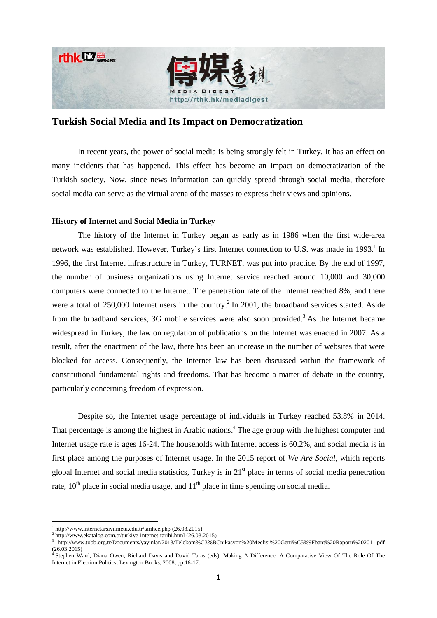



# **Turkish Social Media and Its Impact on Democratization**

In recent years, the power of social media is being strongly felt in Turkey. It has an effect on many incidents that has happened. This effect has become an impact on democratization of the Turkish society. Now, since news information can quickly spread through social media, therefore social media can serve as the virtual arena of the masses to express their views and opinions.

## **History of Internet and Social Media in Turkey**

The history of the Internet in Turkey began as early as in 1986 when the first wide-area network was established. However, Turkey's first Internet connection to U.S. was made in 1993.<sup>1</sup> In 1996, the first Internet infrastructure in Turkey, TURNET, was put into practice. By the end of 1997, the number of business organizations using Internet service reached around 10,000 and 30,000 computers were connected to the Internet. The penetration rate of the Internet reached 8%, and there were a total of  $250,000$  Internet users in the country.<sup>2</sup> In 2001, the broadband services started. Aside from the broadband services,  $3G$  mobile services were also soon provided.<sup>3</sup> As the Internet became widespread in Turkey, the law on regulation of publications on the Internet was enacted in 2007. As a result, after the enactment of the law, there has been an increase in the number of websites that were blocked for access. Consequently, the Internet law has been discussed within the framework of constitutional fundamental rights and freedoms. That has become a matter of debate in the country, particularly concerning freedom of expression.

Despite so, the Internet usage percentage of individuals in Turkey reached 53.8% in 2014. That percentage is among the highest in Arabic nations.<sup>4</sup> The age group with the highest computer and Internet usage rate is ages 16-24. The households with Internet access is 60.2%, and social media is in first place among the purposes of Internet usage. In the 2015 report of *We Are Social*, which reports global Internet and social media statistics, Turkey is in  $21<sup>st</sup>$  place in terms of social media penetration rate,  $10^{th}$  place in social media usage, and  $11^{th}$  place in time spending on social media.

1

<sup>1</sup> <http://www.internetarsivi.metu.edu.tr/tarihce.php> (26.03.2015)

 $^{2}$  <http://www.ekatalog.com.tr/turkiye-internet-tarihi.html> (26.03.2015)

<sup>3</sup> <http://www.tobb.org.tr/Documents/yayinlar/2013/Telekom%C3%BCnikasyon%20Meclisi%20Geni%C5%9Fbant%20Raporu%202011.pdf>  $(26.03.2015)$ 

<sup>4</sup> [Stephen Ward,](http://www.google.com.tr/search?tbs=bks:1,bkv:a&tbo=p&q=+inauthor:%22Stephen+Ward%22&source=gbs_metadata_r&cad=7) Diana Owen, [Richard Davis](http://www.google.com.tr/search?tbs=bks:1,bkv:a&tbo=p&q=+inauthor:%22Richard+Davis%22&source=gbs_metadata_r&cad=7) and David Taras (eds), Making A Difference: A Comparative View Of The Role Of The Internet in Election Politics, Lexington Books, 2008, pp.16-17.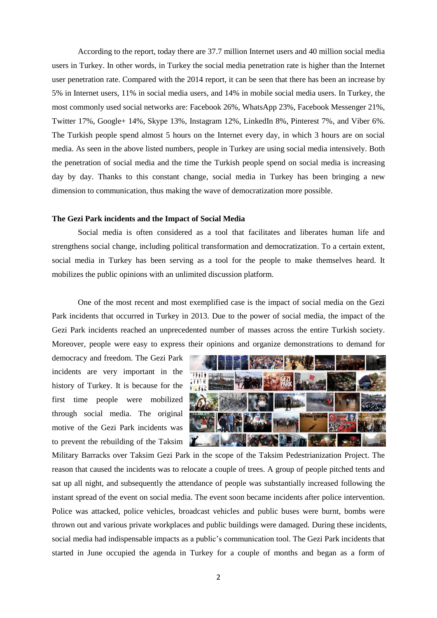According to the report, today there are 37.7 million Internet users and 40 million social media users in Turkey. In other words, in Turkey the social media penetration rate is higher than the Internet user penetration rate. Compared with the 2014 report, it can be seen that there has been an increase by 5% in Internet users, 11% in social media users, and 14% in mobile social media users. In Turkey, the most commonly used social networks are: Facebook 26%, WhatsApp 23%, Facebook Messenger 21%, Twitter 17%, Google+ 14%, Skype 13%, Instagram 12%, LinkedIn 8%, Pinterest 7%, and Viber 6%. The Turkish people spend almost 5 hours on the Internet every day, in which 3 hours are on social media. As seen in the above listed numbers, people in Turkey are using social media intensively. Both the penetration of social media and the time the Turkish people spend on social media is increasing day by day. Thanks to this constant change, social media in Turkey has been bringing a new dimension to communication, thus making the wave of democratization more possible.

### **The Gezi Park incidents and the Impact of Social Media**

Social media is often considered as a tool that facilitates and liberates human life and strengthens social change, including political transformation and democratization. To a certain extent, social media in Turkey has been serving as a tool for the people to make themselves heard. It mobilizes the public opinions with an unlimited discussion platform.

One of the most recent and most exemplified case is the impact of social media on the Gezi Park incidents that occurred in Turkey in 2013. Due to the power of social media, the impact of the Gezi Park incidents reached an unprecedented number of masses across the entire Turkish society. Moreover, people were easy to express their opinions and organize demonstrations to demand for

democracy and freedom. The Gezi Park incidents are very important in the history of Turkey. It is because for the first time people were mobilized through social media. The original motive of the Gezi Park incidents was to prevent the rebuilding of the Taksim



Military Barracks over Taksim Gezi Park in the scope of the Taksim Pedestrianization Project. The reason that caused the incidents was to relocate a couple of trees. A group of people pitched tents and sat up all night, and subsequently the attendance of people was substantially increased following the instant spread of the event on social media. The event soon became incidents after police intervention. Police was attacked, police vehicles, broadcast vehicles and public buses were burnt, bombs were thrown out and various private workplaces and public buildings were damaged. During these incidents, social media had indispensable impacts as a public's communication tool. The Gezi Park incidents that started in June occupied the agenda in Turkey for a couple of months and began as a form of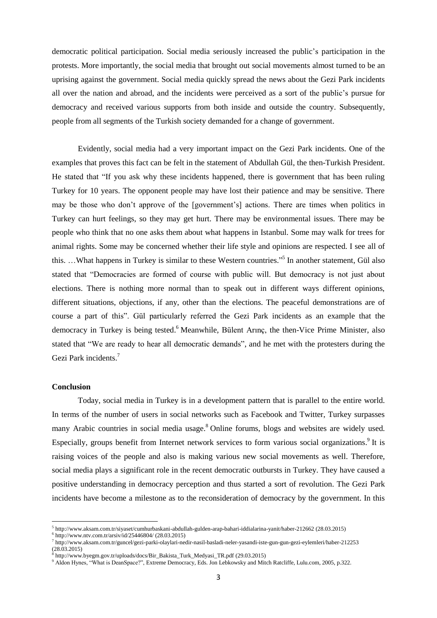democratic political participation. Social media seriously increased the public's participation in the protests. More importantly, the social media that brought out social movements almost turned to be an uprising against the government. Social media quickly spread the news about the Gezi Park incidents all over the nation and abroad, and the incidents were perceived as a sort of the public's pursue for democracy and received various supports from both inside and outside the country. Subsequently, people from all segments of the Turkish society demanded for a change of government.

Evidently, social media had a very important impact on the Gezi Park incidents. One of the examples that proves this fact can be felt in the statement of Abdullah Gül, the then-Turkish President. He stated that "If you ask why these incidents happened, there is government that has been ruling Turkey for 10 years. The opponent people may have lost their patience and may be sensitive. There may be those who don't approve of the [government's] actions. There are times when politics in Turkey can hurt feelings, so they may get hurt. There may be environmental issues. There may be people who think that no one asks them about what happens in Istanbul. Some may walk for trees for animal rights. Some may be concerned whether their life style and opinions are respected. I see all of this. …What happens in Turkey is similar to these Western countries." 5 In another statement, Gül also stated that "Democracies are formed of course with public will. But democracy is not just about elections. There is nothing more normal than to speak out in different ways different opinions, different situations, objections, if any, other than the elections. The peaceful demonstrations are of course a part of this". Gül particularly referred the Gezi Park incidents as an example that the democracy in Turkey is being tested.<sup>6</sup> Meanwhile, Bülent Arınç, the then-Vice Prime Minister, also stated that "We are ready to hear all democratic demands", and he met with the protesters during the Gezi Park incidents. 7

#### **Conclusion**

1

Today, social media in Turkey is in a development pattern that is parallel to the entire world. In terms of the number of users in social networks such as Facebook and Twitter, Turkey surpasses many Arabic countries in social media usage.<sup>8</sup> Online forums, blogs and websites are widely used. Especially, groups benefit from Internet network services to form various social organizations.<sup>9</sup> It is raising voices of the people and also is making various new social movements as well. Therefore, social media plays a significant role in the recent democratic outbursts in Turkey. They have caused a positive understanding in democracy perception and thus started a sort of revolution. The Gezi Park incidents have become a milestone as to the reconsideration of democracy by the government. In this

<sup>5</sup> <http://www.aksam.com.tr/siyaset/cumhurbaskani-abdullah-gulden-arap-bahari-iddialarina-yanit/haber-212662> (28.03.2015)

<sup>6</sup> <http://www.ntv.com.tr/arsiv/id/25446804/> (28.03.2015)

<sup>7</sup> <http://www.aksam.com.tr/guncel/gezi-parki-olaylari-nedir-nasil-basladi-neler-yasandi-iste-gun-gun-gezi-eylemleri/haber-212253>  $(28.03.2015)$ 

<sup>8</sup> [http://www.byegm.gov.tr/uploads/docs/Bir\\_Bakista\\_Turk\\_Medyasi\\_TR.pdf](http://www.byegm.gov.tr/uploads/docs/Bir_Bakista_Turk_Medyasi_TR.pdf) (29.03.2015)

<sup>9</sup> Aldon Hynes, "What is DeanSpace?", Extreme Democracy, Eds. Jon Lebkowsky and Mitch Ratcliffe, Lulu.com, 2005, p.322.